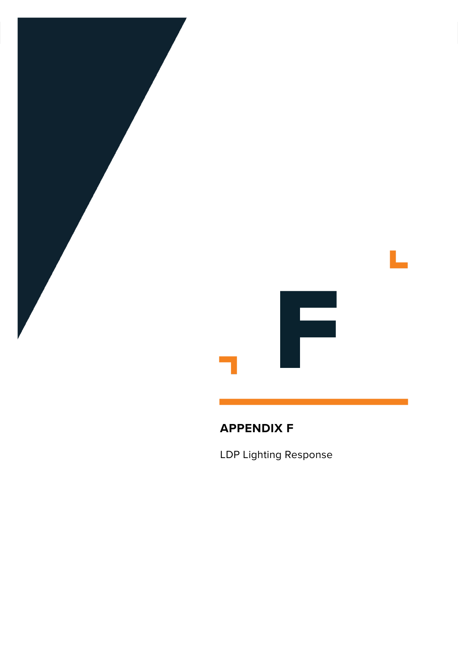

# **APPENDIX F**

LDP Lighting Response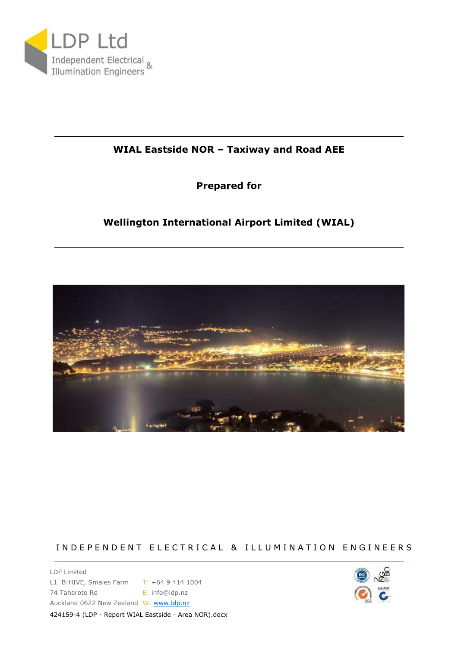

### **WIAL Eastside NOR – Taxiway and Road AEE**

### **Prepared for**

## **Wellington International Airport Limited (WIAL)**



### IN DEPENDENT ELECTRICAL & ILLUMINATION ENGINEERS

LDP Limited L1 B:HIVE, Smales Farm T: +64 9 414 1004 74 Taharoto Rd **E:** info@ldp.nz Auckland 0622 New Zealand W: [www.ldp.nz](http://www.ldp.nz/) 424159-4 (LDP - Report WIAL Eastside - Area NOR).docx

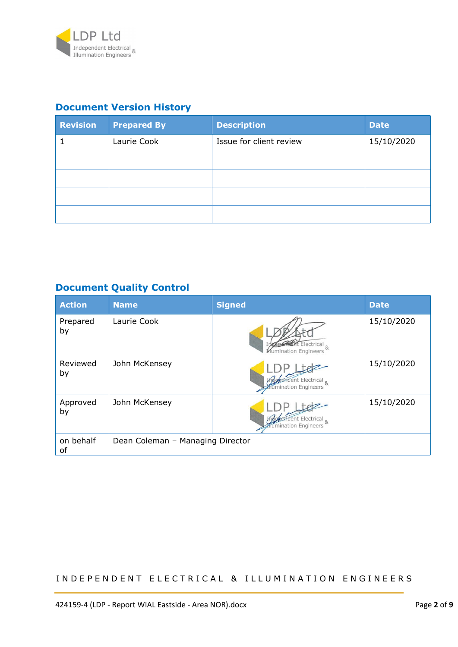

## **Document Version History**

| <b>Revision</b> | <b>Prepared By</b> | <b>Description</b>      | <b>Date</b> |
|-----------------|--------------------|-------------------------|-------------|
|                 | Laurie Cook        | Issue for client review | 15/10/2020  |
|                 |                    |                         |             |
|                 |                    |                         |             |
|                 |                    |                         |             |
|                 |                    |                         |             |

## **Document Quality Control**

| <b>Action</b>   | <b>Name</b>                      | <b>Signed</b>                                       | <b>Date</b> |
|-----------------|----------------------------------|-----------------------------------------------------|-------------|
| Prepared<br>by  | Laurie Cook                      | Electrical &<br>Mumination Engineers                | 15/10/2020  |
| Reviewed<br>by  | John McKensey                    | endent Electrical &<br>umination Engineers          | 15/10/2020  |
| Approved<br>by  | John McKensey                    | endent Electrical &<br><b>flumination Engineers</b> | 15/10/2020  |
| on behalf<br>of | Dean Coleman - Managing Director |                                                     |             |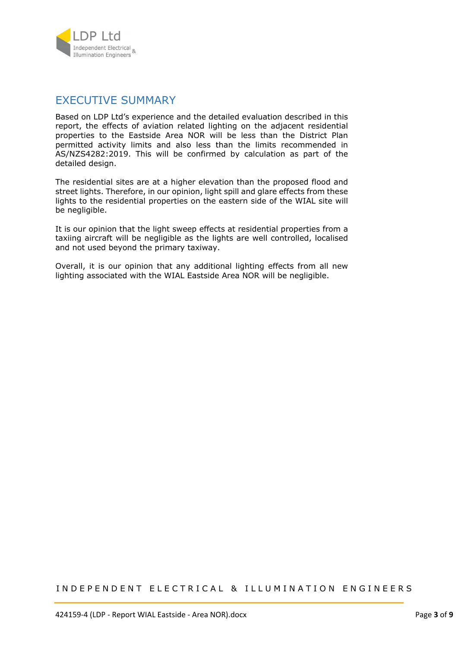

### EXECUTIVE SUMMARY

Based on LDP Ltd's experience and the detailed evaluation described in this report, the effects of aviation related lighting on the adjacent residential properties to the Eastside Area NOR will be less than the District Plan permitted activity limits and also less than the limits recommended in AS/NZS4282:2019. This will be confirmed by calculation as part of the detailed design.

The residential sites are at a higher elevation than the proposed flood and street lights. Therefore, in our opinion, light spill and glare effects from these lights to the residential properties on the eastern side of the WIAL site will be negligible.

It is our opinion that the light sweep effects at residential properties from a taxiing aircraft will be negligible as the lights are well controlled, localised and not used beyond the primary taxiway.

Overall, it is our opinion that any additional lighting effects from all new lighting associated with the WIAL Eastside Area NOR will be negligible.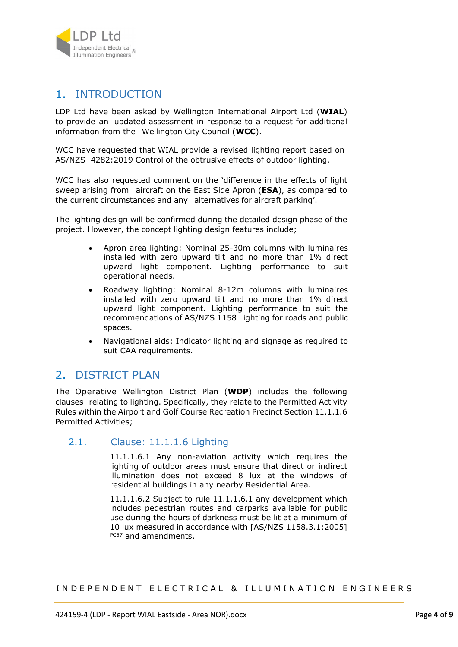

## 1. INTRODUCTION

LDP Ltd have been asked by Wellington International Airport Ltd (**WIAL**) to provide an updated assessment in response to a request for additional information from the Wellington City Council (**WCC**).

WCC have requested that WIAL provide a revised lighting report based on AS/NZS 4282:2019 Control of the obtrusive effects of outdoor lighting.

WCC has also requested comment on the 'difference in the effects of light sweep arising from aircraft on the East Side Apron (**ESA**), as compared to the current circumstances and any alternatives for aircraft parking'.

The lighting design will be confirmed during the detailed design phase of the project. However, the concept lighting design features include;

- Apron area lighting: Nominal 25-30m columns with luminaires installed with zero upward tilt and no more than 1% direct upward light component. Lighting performance to suit operational needs.
- Roadway lighting: Nominal 8-12m columns with luminaires installed with zero upward tilt and no more than 1% direct upward light component. Lighting performance to suit the recommendations of AS/NZS 1158 Lighting for roads and public spaces.
- Navigational aids: Indicator lighting and signage as required to suit CAA requirements.

## 2. DISTRICT PLAN

The Operative Wellington District Plan (**WDP**) includes the following clauses relating to lighting. Specifically, they relate to the Permitted Activity Rules within the Airport and Golf Course Recreation Precinct Section 11.1.1.6 Permitted Activities;

### 2.1. Clause: 11.1.1.6 Lighting

11.1.1.6.1 Any non-aviation activity which requires the lighting of outdoor areas must ensure that direct or indirect illumination does not exceed 8 lux at the windows of residential buildings in any nearby Residential Area.

11.1.1.6.2 Subject to rule 11.1.1.6.1 any development which includes pedestrian routes and carparks available for public use during the hours of darkness must be lit at a minimum of 10 lux measured in accordance with [AS/NZS 1158.3.1:2005] PC57 and amendments.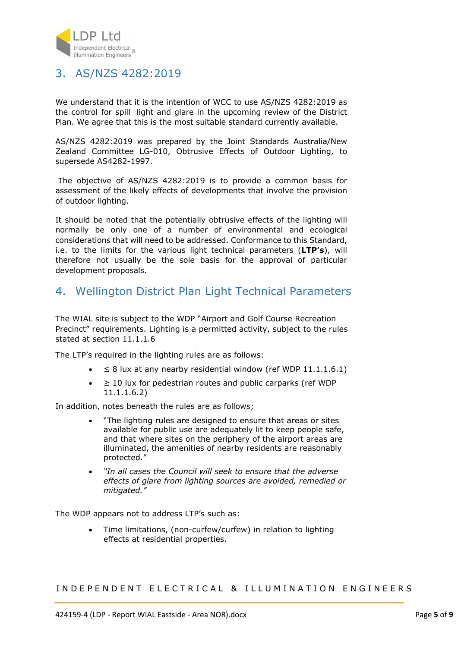

## 3. AS/NZS 4282:2019

We understand that it is the intention of WCC to use AS/NZS 4282:2019 as the control for spill light and glare in the upcoming review of the District Plan. We agree that this is the most suitable standard currently available.

AS/NZS 4282:2019 was prepared by the Joint Standards Australia/New Zealand Committee LG-010, Obtrusive Effects of Outdoor Lighting, to supersede AS4282-1997.

 The objective of AS/NZS 4282:2019 is to provide a common basis for assessment of the likely effects of developments that involve the provision of outdoor lighting.

It should be noted that the potentially obtrusive effects of the lighting will normally be only one of a number of environmental and ecological considerations that will need to be addressed. Conformance to this Standard, i.e. to the limits for the various light technical parameters (**LTP's**), will therefore not usually be the sole basis for the approval of particular development proposals.

## 4. Wellington District Plan Light Technical Parameters

The WIAL site is subject to the WDP "Airport and Golf Course Recreation Precinct" requirements. Lighting is a permitted activity, subject to the rules stated at section 11.1.1.6

The LTP's required in the lighting rules are as follows:

- $\leq$  8 lux at any nearby residential window (ref WDP 11.1.1.6.1)
- ≥ 10 lux for pedestrian routes and public carparks (ref WDP 11.1.1.6.2)

In addition, notes beneath the rules are as follows;

- "The lighting rules are designed to ensure that areas or sites available for public use are adequately lit to keep people safe, and that where sites on the periphery of the airport areas are illuminated, the amenities of nearby residents are reasonably protected."
- *"In all cases the Council will seek to ensure that the adverse effects of glare from lighting sources are avoided, remedied or mitigated."*

The WDP appears not to address LTP's such as:

 Time limitations, (non-curfew/curfew) in relation to lighting effects at residential properties.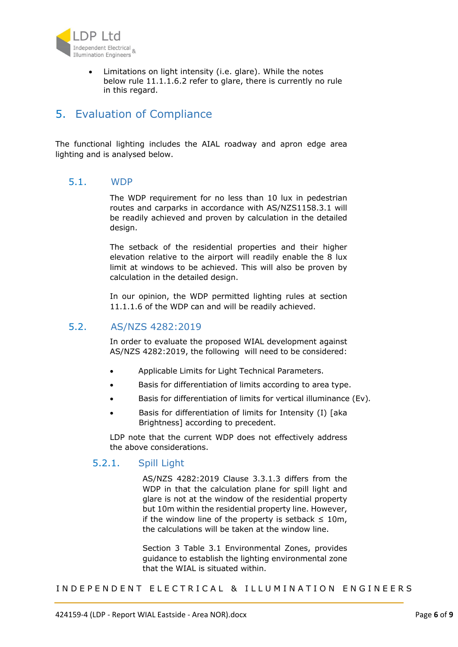

 Limitations on light intensity (i.e. glare). While the notes below rule 11.1.1.6.2 refer to glare, there is currently no rule in this regard.

## 5. Evaluation of Compliance

The functional lighting includes the AIAL roadway and apron edge area lighting and is analysed below.

#### 5.1. WDP

The WDP requirement for no less than 10 lux in pedestrian routes and carparks in accordance with AS/NZS1158.3.1 will be readily achieved and proven by calculation in the detailed design.

The setback of the residential properties and their higher elevation relative to the airport will readily enable the 8 lux limit at windows to be achieved. This will also be proven by calculation in the detailed design.

In our opinion, the WDP permitted lighting rules at section 11.1.1.6 of the WDP can and will be readily achieved.

### 5.2. AS/NZS 4282:2019

In order to evaluate the proposed WIAL development against AS/NZS 4282:2019, the following will need to be considered:

- Applicable Limits for Light Technical Parameters.
- Basis for differentiation of limits according to area type.
- Basis for differentiation of limits for vertical illuminance (Ev)*.*
- Basis for differentiation of limits for Intensity (I) [aka Brightness] according to precedent.

LDP note that the current WDP does not effectively address the above considerations.

### 5.2.1. Spill Light

AS/NZS 4282:2019 Clause 3.3.1.3 differs from the WDP in that the calculation plane for spill light and glare is not at the window of the residential property but 10m within the residential property line. However, if the window line of the property is setback  $\leq 10$ m, the calculations will be taken at the window line.

Section 3 Table 3.1 Environmental Zones, provides guidance to establish the lighting environmental zone that the WIAL is situated within.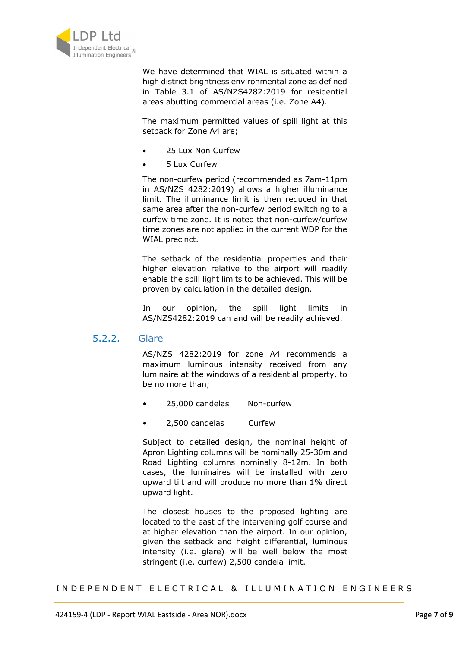

We have determined that WIAL is situated within a high district brightness environmental zone as defined in Table 3.1 of AS/NZS4282:2019 for residential areas abutting commercial areas (i.e. Zone A4).

The maximum permitted values of spill light at this setback for Zone A4 are;

- 25 Lux Non Curfew
- 5 Lux Curfew

The non-curfew period (recommended as 7am-11pm in AS/NZS 4282:2019) allows a higher illuminance limit. The illuminance limit is then reduced in that same area after the non-curfew period switching to a curfew time zone. It is noted that non-curfew/curfew time zones are not applied in the current WDP for the WIAL precinct.

The setback of the residential properties and their higher elevation relative to the airport will readily enable the spill light limits to be achieved. This will be proven by calculation in the detailed design.

In our opinion, the spill light limits in AS/NZS4282:2019 can and will be readily achieved.

#### 5.2.2. Glare

AS/NZS 4282:2019 for zone A4 recommends a maximum luminous intensity received from any luminaire at the windows of a residential property, to be no more than;

- 25,000 candelas Non-curfew
- 2,500 candelas Curfew

Subject to detailed design, the nominal height of Apron Lighting columns will be nominally 25-30m and Road Lighting columns nominally 8-12m. In both cases, the luminaires will be installed with zero upward tilt and will produce no more than 1% direct upward light.

The closest houses to the proposed lighting are located to the east of the intervening golf course and at higher elevation than the airport. In our opinion, given the setback and height differential, luminous intensity (i.e. glare) will be well below the most stringent (i.e. curfew) 2,500 candela limit.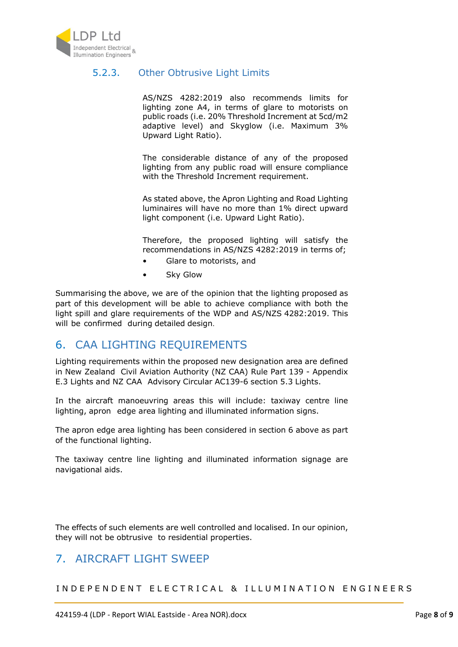

### 5.2.3. Other Obtrusive Light Limits

AS/NZS 4282:2019 also recommends limits for lighting zone A4, in terms of glare to motorists on public roads (i.e. 20% Threshold Increment at 5cd/m2 adaptive level) and Skyglow (i.e. Maximum 3% Upward Light Ratio).

The considerable distance of any of the proposed lighting from any public road will ensure compliance with the Threshold Increment requirement.

As stated above, the Apron Lighting and Road Lighting luminaires will have no more than 1% direct upward light component (i.e. Upward Light Ratio).

Therefore, the proposed lighting will satisfy the recommendations in AS/NZS 4282:2019 in terms of;

- Glare to motorists, and
- Sky Glow

Summarising the above, we are of the opinion that the lighting proposed as part of this development will be able to achieve compliance with both the light spill and glare requirements of the WDP and AS/NZS 4282:2019. This will be confirmed during detailed design.

## 6. CAA LIGHTING REQUIREMENTS

Lighting requirements within the proposed new designation area are defined in New Zealand Civil Aviation Authority (NZ CAA) Rule Part 139 - Appendix E.3 Lights and NZ CAA Advisory Circular AC139-6 section 5.3 Lights.

In the aircraft manoeuvring areas this will include: taxiway centre line lighting, apron edge area lighting and illuminated information signs.

The apron edge area lighting has been considered in section 6 above as part of the functional lighting.

The taxiway centre line lighting and illuminated information signage are navigational aids.

The effects of such elements are well controlled and localised. In our opinion, they will not be obtrusive to residential properties.

## 7. AIRCRAFT LIGHT SWEEP